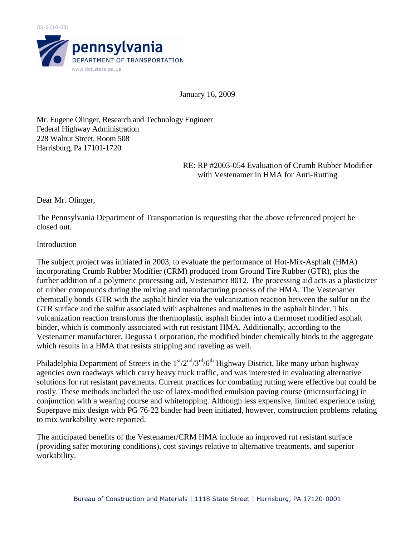

January 16, 2009

Mr. Eugene Olinger, Research and Technology Engineer Federal Highway Administration 228 Walnut Street, Room 508 Harrisburg, Pa 17101-1720

> RE: RP #2003-054 Evaluation of Crumb Rubber Modifier with Vestenamer in HMA for Anti-Rutting

Dear Mr. Olinger,

The Pennsylvania Department of Transportation is requesting that the above referenced project be closed out.

## Introduction

The subject project was initiated in 2003, to evaluate the performance of Hot-Mix-Asphalt (HMA) incorporating Crumb Rubber Modifier (CRM) produced from Ground Tire Rubber (GTR), plus the further addition of a polymeric processing aid, Vestenamer 8012. The processing aid acts as a plasticizer of rubber compounds during the mixing and manufacturing process of the HMA. The Vestenamer chemically bonds GTR with the asphalt binder via the vulcanization reaction between the sulfur on the GTR surface and the sulfur associated with asphaltenes and maltenes in the asphalt binder. This vulcanization reaction transforms the thermoplastic asphalt binder into a thermoset modified asphalt binder, which is commonly associated with rut resistant HMA. Additionally, according to the Vestenamer manufacturer, Degussa Corporation, the modified binder chemically binds to the aggregate which results in a HMA that resists stripping and raveling as well.

Philadelphia Department of Streets in the  $1<sup>st</sup>/2<sup>nd</sup>/3<sup>rd</sup>/6<sup>th</sup>$  Highway District, like many urban highway agencies own roadways which carry heavy truck traffic, and was interested in evaluating alternative solutions for rut resistant pavements. Current practices for combating rutting were effective but could be costly. These methods included the use of latex-modified emulsion paving course (microsurfacing) in conjunction with a wearing course and whitetopping. Although less expensive, limited experience using Superpave mix design with PG 76-22 binder had been initiated, however, construction problems relating to mix workability were reported.

The anticipated benefits of the Vestenamer/CRM HMA include an improved rut resistant surface (providing safer motoring conditions), cost savings relative to alternative treatments, and superior workability.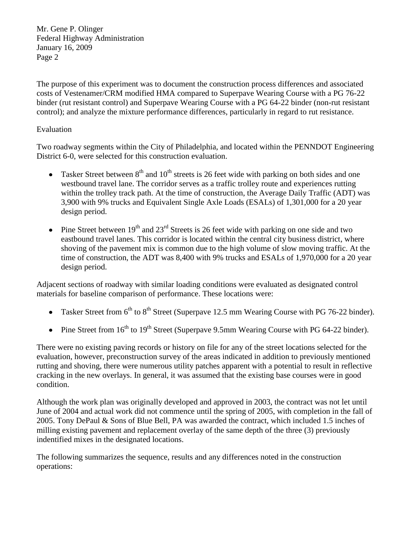Mr. Gene P. Olinger Federal Highway Administration January 16, 2009 Page 2

The purpose of this experiment was to document the construction process differences and associated costs of Vestenamer/CRM modified HMA compared to Superpave Wearing Course with a PG 76-22 binder (rut resistant control) and Superpave Wearing Course with a PG 64-22 binder (non-rut resistant control); and analyze the mixture performance differences, particularly in regard to rut resistance.

## Evaluation

Two roadway segments within the City of Philadelphia, and located within the PENNDOT Engineering District 6-0, were selected for this construction evaluation.

- Tasker Street between  $8<sup>th</sup>$  and  $10<sup>th</sup>$  streets is 26 feet wide with parking on both sides and one westbound travel lane. The corridor serves as a traffic trolley route and experiences rutting within the trolley track path. At the time of construction, the Average Daily Traffic (ADT) was 3,900 with 9% trucks and Equivalent Single Axle Loads (ESALs) of 1,301,000 for a 20 year design period.
- Pine Street between  $19<sup>th</sup>$  and  $23<sup>rd</sup>$  Streets is 26 feet wide with parking on one side and two eastbound travel lanes. This corridor is located within the central city business district, where shoving of the pavement mix is common due to the high volume of slow moving traffic. At the time of construction, the ADT was 8,400 with 9% trucks and ESALs of 1,970,000 for a 20 year design period.

Adjacent sections of roadway with similar loading conditions were evaluated as designated control materials for baseline comparison of performance. These locations were:

- Tasker Street from  $6<sup>th</sup>$  to  $8<sup>th</sup>$  Street (Superpave 12.5 mm Wearing Course with PG 76-22 binder).
- Pine Street from  $16<sup>th</sup>$  to  $19<sup>th</sup>$  Street (Superpave 9.5mm Wearing Course with PG 64-22 binder).

There were no existing paving records or history on file for any of the street locations selected for the evaluation, however, preconstruction survey of the areas indicated in addition to previously mentioned rutting and shoving, there were numerous utility patches apparent with a potential to result in reflective cracking in the new overlays. In general, it was assumed that the existing base courses were in good condition.

Although the work plan was originally developed and approved in 2003, the contract was not let until June of 2004 and actual work did not commence until the spring of 2005, with completion in the fall of 2005. Tony DePaul & Sons of Blue Bell, PA was awarded the contract, which included 1.5 inches of milling existing pavement and replacement overlay of the same depth of the three (3) previously indentified mixes in the designated locations.

The following summarizes the sequence, results and any differences noted in the construction operations: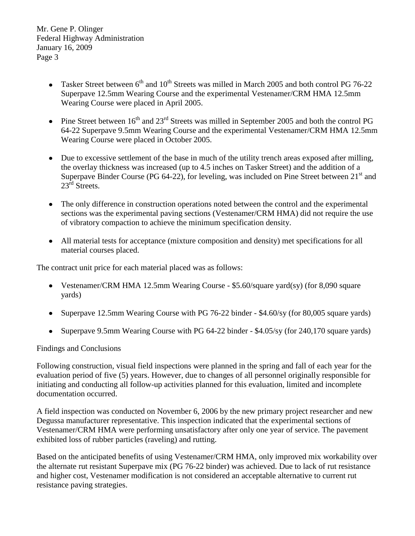Mr. Gene P. Olinger Federal Highway Administration January 16, 2009 Page 3

- Tasker Street between  $6<sup>th</sup>$  and  $10<sup>th</sup>$  Streets was milled in March 2005 and both control PG 76-22 Superpave 12.5mm Wearing Course and the experimental Vestenamer/CRM HMA 12.5mm Wearing Course were placed in April 2005.
- Pine Street between  $16^{th}$  and  $23^{rd}$  Streets was milled in September 2005 and both the control PG 64-22 Superpave 9.5mm Wearing Course and the experimental Vestenamer/CRM HMA 12.5mm Wearing Course were placed in October 2005.
- Due to excessive settlement of the base in much of the utility trench areas exposed after milling, the overlay thickness was increased (up to 4.5 inches on Tasker Street) and the addition of a Superpave Binder Course (PG 64-22), for leveling, was included on Pine Street between  $21<sup>st</sup>$  and  $23^{\text{rd}}$  Streets.
- The only difference in construction operations noted between the control and the experimental sections was the experimental paving sections (Vestenamer/CRM HMA) did not require the use of vibratory compaction to achieve the minimum specification density.
- All material tests for acceptance (mixture composition and density) met specifications for all material courses placed.

The contract unit price for each material placed was as follows:

- Vestenamer/CRM HMA 12.5mm Wearing Course \$5.60/square yard(sy) (for 8,090 square yards)
- Superpave 12.5mm Wearing Course with PG 76-22 binder \$4.60/sy (for 80,005 square yards)
- Superpave 9.5mm Wearing Course with PG 64-22 binder \$4.05/sy (for 240,170 square yards)

## Findings and Conclusions

Following construction, visual field inspections were planned in the spring and fall of each year for the evaluation period of five (5) years. However, due to changes of all personnel originally responsible for initiating and conducting all follow-up activities planned for this evaluation, limited and incomplete documentation occurred.

A field inspection was conducted on November 6, 2006 by the new primary project researcher and new Degussa manufacturer representative. This inspection indicated that the experimental sections of Vestenamer/CRM HMA were performing unsatisfactory after only one year of service. The pavement exhibited loss of rubber particles (raveling) and rutting.

Based on the anticipated benefits of using Vestenamer/CRM HMA, only improved mix workability over the alternate rut resistant Superpave mix (PG 76-22 binder) was achieved. Due to lack of rut resistance and higher cost, Vestenamer modification is not considered an acceptable alternative to current rut resistance paving strategies.